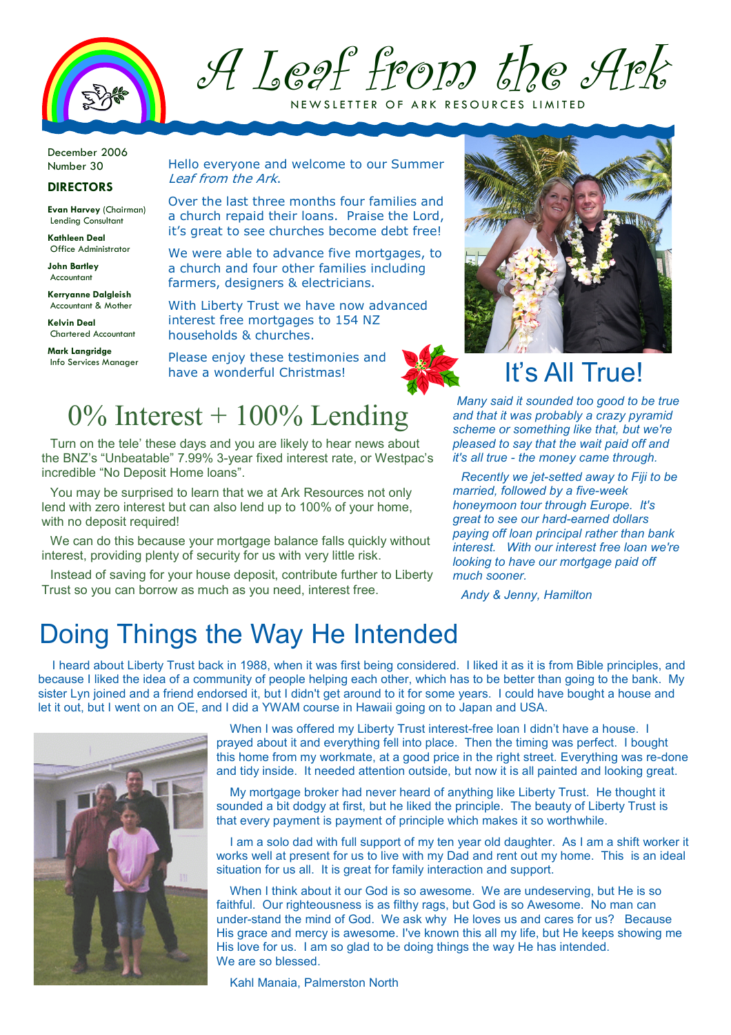

A Leaf from the Ark NEW SLETTER OF ARK RESOURCES LIMITED

December 2006 Number 30

### **DIRECTORS**

Evan Harvey (Chairman) Lending Consultant

Kathleen Deal Office Administrator

John Bartley Accountant

Kerryanne Dalgleish Accountant & Mother

Kelvin Deal Chartered Accountant

Mark Langridge

Hello everyone and welcome to our Summer Leaf from the Ark.

Over the last three months four families and a church repaid their loans. Praise the Lord, it's great to see churches become debt free!

We were able to advance five mortgages, to a church and four other families including farmers, designers & electricians.

With Liberty Trust we have now advanced interest free mortgages to 154 NZ households & churches.

Please enjoy these testimonies and have a wonderful Christmas! Info Services Manager PIEASE Enjoy these testimonies and  $\mathbb{R}$ 



Many said it sounded too good to be true and that it was probably a crazy pyramid scheme or something like that, but we're pleased to say that the wait paid off and it's all true - the money came through.

Recently we jet-setted away to Fiji to be married, followed by a five-week honeymoon tour through Europe. It's great to see our hard-earned dollars paying off loan principal rather than bank interest. With our interest free loan we're looking to have our mortgage paid off much sooner.

Andy & Jenny, Hamilton

# $0\%$  Interest + 100% Lending

Turn on the tele' these days and you are likely to hear news about the BNZ's "Unbeatable" 7.99% 3-year fixed interest rate, or Westpac's incredible "No Deposit Home loans".

You may be surprised to learn that we at Ark Resources not only lend with zero interest but can also lend up to 100% of your home, with no deposit required!

We can do this because your mortgage balance falls quickly without interest, providing plenty of security for us with very little risk.

Instead of saving for your house deposit, contribute further to Liberty Trust so you can borrow as much as you need, interest free.

### Doing Things the Way He Intended

I heard about Liberty Trust back in 1988, when it was first being considered. I liked it as it is from Bible principles, and because I liked the idea of a community of people helping each other, which has to be better than going to the bank. My sister Lyn joined and a friend endorsed it, but I didn't get around to it for some years. I could have bought a house and let it out, but I went on an OE, and I did a YWAM course in Hawaii going on to Japan and USA.



When I was offered my Liberty Trust interest-free loan I didn't have a house. I prayed about it and everything fell into place. Then the timing was perfect. I bought this home from my workmate, at a good price in the right street. Everything was re-done and tidy inside. It needed attention outside, but now it is all painted and looking great.

My mortgage broker had never heard of anything like Liberty Trust. He thought it sounded a bit dodgy at first, but he liked the principle. The beauty of Liberty Trust is that every payment is payment of principle which makes it so worthwhile.

I am a solo dad with full support of my ten year old daughter. As I am a shift worker it works well at present for us to live with my Dad and rent out my home. This is an ideal situation for us all. It is great for family interaction and support.

When I think about it our God is so awesome. We are undeserving, but He is so faithful. Our righteousness is as filthy rags, but God is so Awesome. No man can under-stand the mind of God. We ask why He loves us and cares for us? Because His grace and mercy is awesome. I've known this all my life, but He keeps showing me His love for us. I am so glad to be doing things the way He has intended. We are so blessed.

Kahl Manaia, Palmerston North